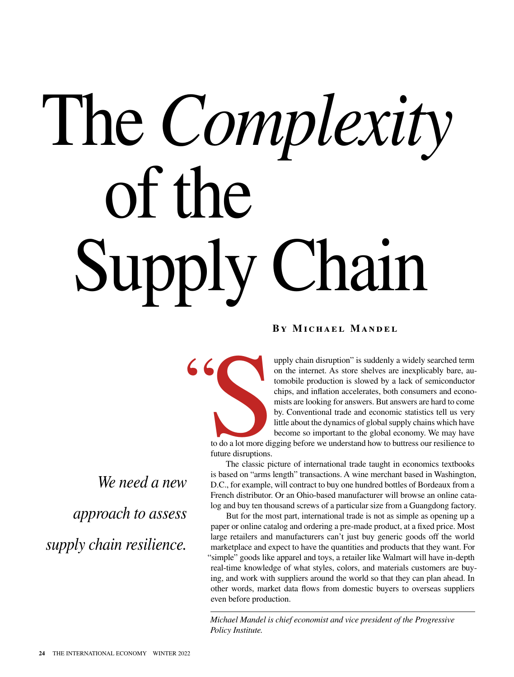## The *Complexity* of the Supply Chain

"

## **By Michael Mandel**

*We need a new approach to assess supply chain resilience.*

upply chain disruption" is suddenly a widely searched term on the internet. As store shelves are inexplicably bare, automobile production is slowed by a lack of semiconductor chips, and inflation accelerates, both consumers and economists are looking for answers. But answers are hard to come by. Conventional trade and economic statistics tell us very little about the dynamics of global supply chains which have become so important to the global economy. We may have

to do a lot more dig<br>future disruptions. to do a lot more digging before we understand how to buttress our resilience to future disruptions.

The classic picture of international trade taught in economics textbooks is based on "arms length" transactions. A wine merchant based in Washington, D.C., for example, will contract to buy one hundred bottles of Bordeaux from a French distributor. Or an Ohio-based manufacturer will browse an online catalog and buy ten thousand screws of a particular size from a Guangdong factory.

But for the most part, international trade is not as simple as opening up a paper or online catalog and ordering a pre-made product, at a fixed price. Most large retailers and manufacturers can't just buy generic goods off the world marketplace and expect to have the quantities and products that they want. For "simple" goods like apparel and toys, a retailer like Walmart will have in-depth real-time knowledge of what styles, colors, and materials customers are buying, and work with suppliers around the world so that they can plan ahead. In other words, market data flows from domestic buyers to overseas suppliers even before production.

*Michael Mandel is chief economist and vice president of the Progressive Policy Institute.*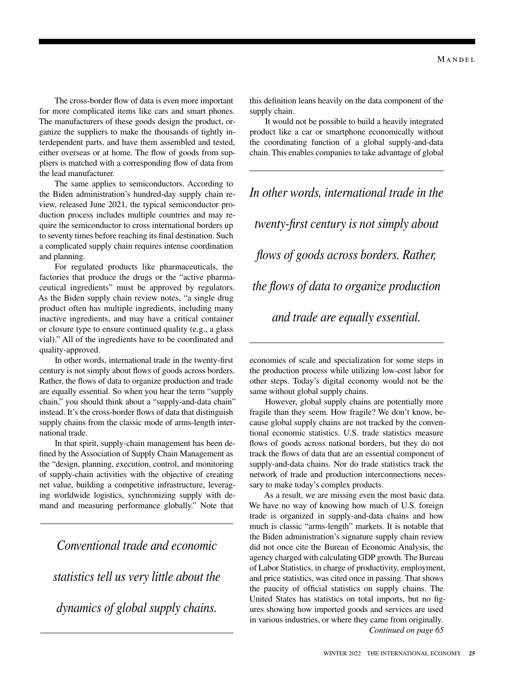The cross-border flow of data is even more important for more complicated items like cars and smart phones. The manufacturers of these goods design the product, organize the suppliers to make the thousands of tightly interdependent parts, and have them assembled and tested, either overseas or at home. The flow of goods from suppliers is matched with a corresponding flow of data from the lead manufacturer.

The same applies to semiconductors. According to the Biden administration's hundred-day supply chain review, released June 2021, the typical semiconductor production process includes multiple countries and may require the semiconductor to cross international borders up to seventy times before reaching its final destination. Such a complicated supply chain requires intense coordination and planning.

For regulated products like pharmaceuticals, the factories that produce the drugs or the "active pharmaceutical ingredients" must be approved by regulators. As the Biden supply chain review notes, "a single drug product often has multiple ingredients, including many inactive ingredients, and may have a critical container or closure type to ensure continued quality (e.g., a glass vial)." All of the ingredients have to be coordinated and quality-approved.

In other words, international trade in the twenty-first century is not simply about flows of goods across borders. Rather, the flows of data to organize production and trade are equally essential. So when you hear the term "supply chain," you should think about a "supply-and-data chain" instead. It's the cross-border flows of data that distinguish supply chains from the classic mode of arms-length international trade.

In that spirit, supply-chain management has been defined by the Association of Supply Chain Management as the "design, planning, execution, control, and monitoring of supply-chain activities with the objective of creating net value, building a competitive infrastructure, leveraging worldwide logistics, synchronizing supply with demand and measuring performance globally." Note that

*Conventional trade and economic statistics tell us very little about the dynamics of global supply chains.*

this definition leans heavily on the data component of the supply chain.

It would not be possible to build a heavily integrated product like a car or smartphone economically without the coordinating function of a global supply-and-data chain. This enables companies to take advantage of global

*In other words, international trade in the twenty-first century is not simply about flows of goods across borders. Rather, the flows of data to organize production and trade are equally essential.*

economies of scale and specialization for some steps in the production process while utilizing low-cost labor for other steps. Today's digital economy would not be the same without global supply chains.

However, global supply chains are potentially more fragile than they seem. How fragile? We don't know, because global supply chains are not tracked by the conventional economic statistics. U.S. trade statistics measure flows of goods across national borders, but they do not track the flows of data that are an essential component of supply-and-data chains. Nor do trade statistics track the network of trade and production interconnections necessary to make today's complex products.

As a result, we are missing even the most basic data. We have no way of knowing how much of U.S. foreign trade is organized in supply-and-data chains and how much is classic "arms-length" markets. It is notable that the Biden administration's signature supply chain review did not once cite the Bureau of Economic Analysis, the agency charged with calculating GDP growth. The Bureau of Labor Statistics, in charge of productivity, employment, and price statistics, was cited once in passing. That shows the paucity of official statistics on supply chains. The United States has statistics on total imports, but no figures showing how imported goods and services are used in various industries, or where they came from originally. *Continued on page 65*